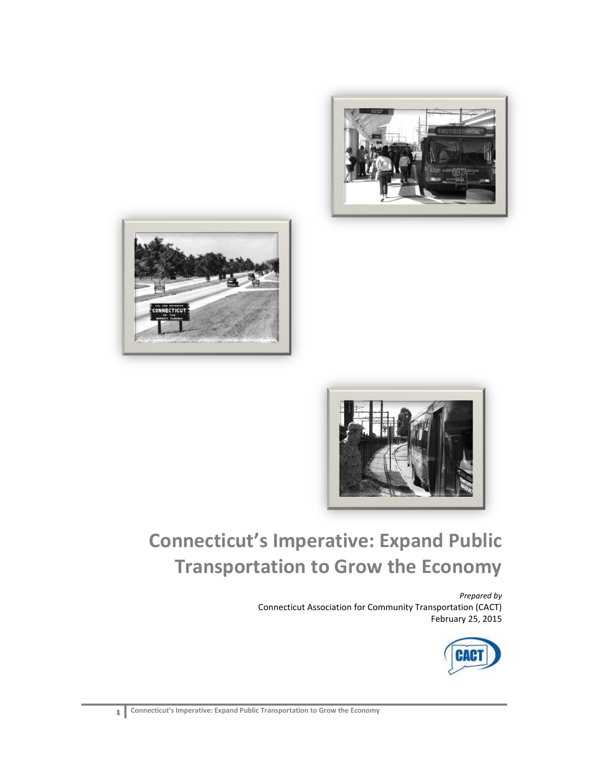





# **Connecticut's Imperative: Expand Public Transportation to Grow the Economy**

*Prepared by* Connecticut Association for Community Transportation (CACT) February 25, 2015

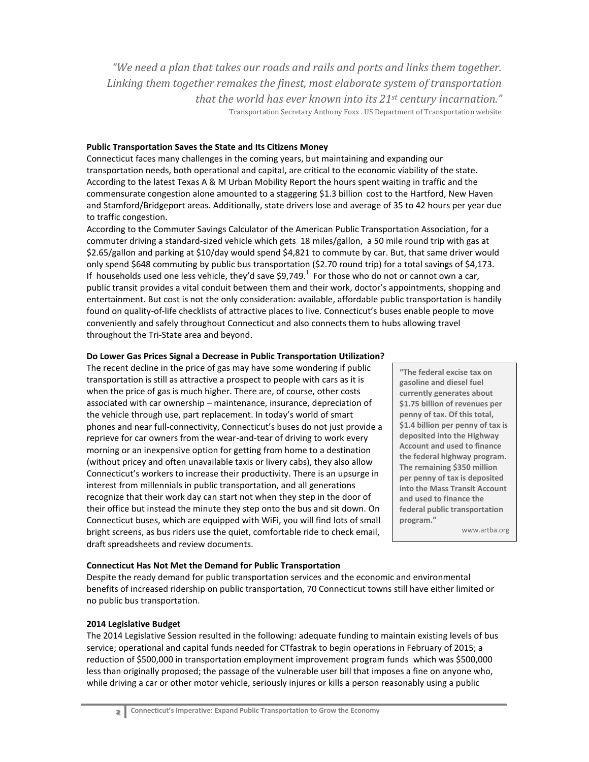*"We need a plan that takes our roads and rails and ports and links them together. Linking them together remakes the finest, most elaborate system of transportation that the world has ever known into its 21st century incarnation."* Transportation Secretary Anthony Foxx . US Department of Transportation website

#### **Public Transportation Saves the State and Its Citizens Money**

Connecticut faces many challenges in the coming years, but maintaining and expanding our transportation needs, both operational and capital, are critical to the economic viability of the state. According to the latest Texas A & M Urban Mobility Report the hours spent waiting in traffic and the commensurate congestion alone amounted to a staggering \$1.3 billion cost to the Hartford, New Haven and Stamford/Bridgeport areas. Additionally, state drivers lose and average of 35 to 42 hours per year due to traffic congestion.

According to the Commuter Savings Calculator of the American Public Transportation Association, for a commuter driving a standard-sized vehicle which gets 18 miles/gallon, a 50 mile round trip with gas at \$2.65/gallon and parking at \$10/day would spend \$4,821 to commute by car. But, that same driver would only spend \$648 commuting by public bus transportation (\$2.70 round trip) for a total savings of \$4,173. If households used one less vehicle, they'd save \$9,749. $^1$  For those who do not or cannot own a car, public transit provides a vital conduit between them and their work, doctor's appointments, shopping and entertainment. But cost is not the only consideration: available, affordable public transportation is handily found on quality-of-life checklists of attractive places to live. Connecticut's buses enable people to move conveniently and safely throughout Connecticut and also connects them to hubs allowing travel throughout the Tri-State area and beyond.

## **Do Lower Gas Prices Signal a Decrease in Public Transportation Utilization?**

The recent decline in the price of gas may have some wondering if public transportation is still as attractive a prospect to people with cars as it is when the price of gas is much higher. There are, of course, other costs associated with car ownership – maintenance, insurance, depreciation of the vehicle through use, part replacement. In today's world of smart phones and near full-connectivity, Connecticut's buses do not just provide a reprieve for car owners from the wear-and-tear of driving to work every morning or an inexpensive option for getting from home to a destination (without pricey and often unavailable taxis or livery cabs), they also allow Connecticut's workers to increase their productivity. There is an upsurge in interest from millennials in public transportation, and all generations recognize that their work day can start not when they step in the door of their office but instead the minute they step onto the bus and sit down. On Connecticut buses, which are equipped with WiFi, you will find lots of small bright screens, as bus riders use the quiet, comfortable ride to check email, draft spreadsheets and review documents.

**"The federal excise tax on gasoline and diesel fuel currently generates about \$1.75 billion of revenues per penny of tax. Of this total, \$1.4 billion per penny of tax is deposited into the Highway Account and used to finance the federal highway program. The remaining \$350 million per penny of tax is deposited into the Mass Transit Account and used to finance the federal public transportation program."** 

www.artba.org

#### **Connecticut Has Not Met the Demand for Public Transportation**

Despite the ready demand for public transportation services and the economic and environmental benefits of increased ridership on public transportation, 70 Connecticut towns still have either limited or no public bus transportation.

#### **2014 Legislative Budget**

The 2014 Legislative Session resulted in the following: adequate funding to maintain existing levels of bus service; operational and capital funds needed for CTfastrak to begin operations in February of 2015; a reduction of \$500,000 in transportation employment improvement program funds which was \$500,000 less than originally proposed; the passage of the vulnerable user bill that imposes a fine on anyone who, while driving a car or other motor vehicle, seriously injures or kills a person reasonably using a public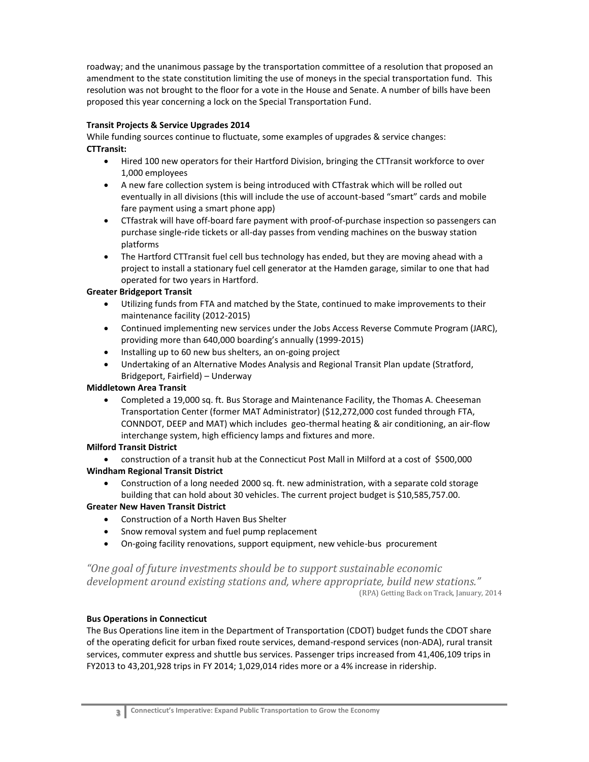roadway; and the unanimous passage by the transportation committee of a resolution that proposed an amendment to the state constitution limiting the use of moneys in the special transportation fund. This resolution was not brought to the floor for a vote in the House and Senate. A number of bills have been proposed this year concerning a lock on the Special Transportation Fund.

# **Transit Projects & Service Upgrades 2014**

While funding sources continue to fluctuate, some examples of upgrades & service changes: **CTTransit:**

- Hired 100 new operators for their Hartford Division, bringing the CTTransit workforce to over 1,000 employees
- A new fare collection system is being introduced with CTfastrak which will be rolled out eventually in all divisions (this will include the use of account-based "smart" cards and mobile fare payment using a smart phone app)
- CTfastrak will have off-board fare payment with proof-of-purchase inspection so passengers can purchase single-ride tickets or all-day passes from vending machines on the busway station platforms
- The Hartford CTTransit fuel cell bus technology has ended, but they are moving ahead with a project to install a stationary fuel cell generator at the Hamden garage, similar to one that had operated for two years in Hartford.

# **Greater Bridgeport Transit**

- Utilizing funds from FTA and matched by the State, continued to make improvements to their maintenance facility (2012-2015)
- Continued implementing new services under the Jobs Access Reverse Commute Program (JARC), providing more than 640,000 boarding's annually (1999-2015)
- Installing up to 60 new bus shelters, an on-going project
- Undertaking of an Alternative Modes Analysis and Regional Transit Plan update (Stratford, Bridgeport, Fairfield) – Underway

#### **Middletown Area Transit**

 Completed a 19,000 sq. ft. Bus Storage and Maintenance Facility, the Thomas A. Cheeseman Transportation Center (former MAT Administrator) (\$12,272,000 cost funded through FTA, CONNDOT, DEEP and MAT) which includes geo-thermal heating & air conditioning, an air-flow interchange system, high efficiency lamps and fixtures and more.

# **Milford Transit District**

 construction of a transit hub at the Connecticut Post Mall in Milford at a cost of \$500,000 **Windham Regional Transit District**

 Construction of a long needed 2000 sq. ft. new administration, with a separate cold storage building that can hold about 30 vehicles. The current project budget is \$10,585,757.00.

# **Greater New Haven Transit District**

- Construction of a North Haven Bus Shelter
- Snow removal system and fuel pump replacement
- On-going facility renovations, support equipment, new vehicle-bus procurement

*"One goal of future investments should be to support sustainable economic development around existing stations and, where appropriate, build new stations."*  (RPA) Getting Back on Track, January, 2014

#### **Bus Operations in Connecticut**

The Bus Operations line item in the Department of Transportation (CDOT) budget funds the CDOT share of the operating deficit for urban fixed route services, demand-respond services (non-ADA), rural transit services, commuter express and shuttle bus services. Passenger trips increased from 41,406,109 trips in FY2013 to 43,201,928 trips in FY 2014; 1,029,014 rides more or a 4% increase in ridership.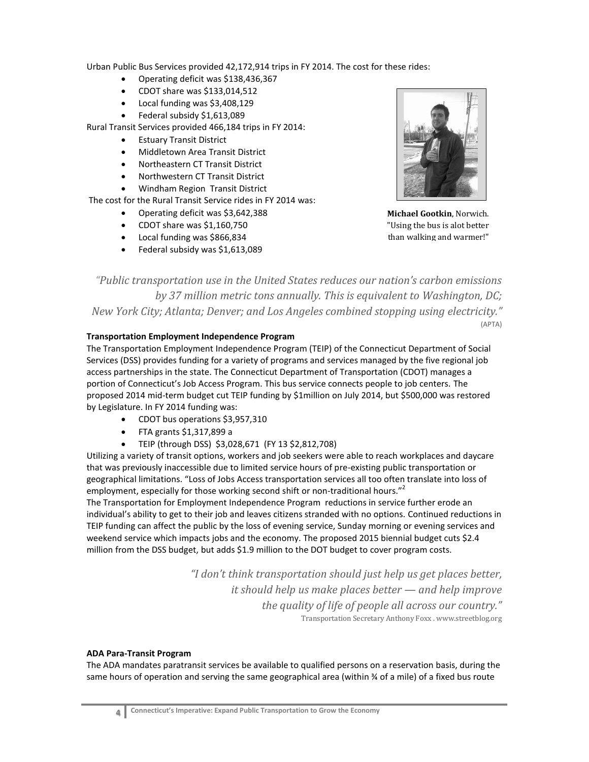Urban Public Bus Services provided 42,172,914 trips in FY 2014. The cost for these rides:

- Operating deficit was \$138,436,367
- CDOT share was \$133,014,512
- Local funding was \$3,408,129
- Federal subsidy \$1,613,089

Rural Transit Services provided 466,184 trips in FY 2014:

- **•** Estuary Transit District
- Middletown Area Transit District
- Northeastern CT Transit District
- Northwestern CT Transit District
- Windham Region Transit District

The cost for the Rural Transit Service rides in FY 2014 was:

- Operating deficit was \$3,642,388
- CDOT share was \$1,160,750
- Local funding was \$866,834
- Federal subsidy was \$1,613,089



**Michael Gootkin**, Norwich. "Using the bus is alot better than walking and warmer!"

*"Public transportation use in the United States reduces our nation's carbon emissions by 37 million metric tons annually. This is equivalent to Washington, DC; New York City; Atlanta; Denver; and Los Angeles combined stopping using electricity."* (APTA)

# **Transportation Employment Independence Program**

The Transportation Employment Independence Program (TEIP) of the Connecticut Department of Social Services (DSS) provides funding for a variety of programs and services managed by the five regional job access partnerships in the state. The Connecticut Department of Transportation (CDOT) manages a portion of Connecticut's Job Access Program. This bus service connects people to job centers. The proposed 2014 mid-term budget cut TEIP funding by \$1million on July 2014, but \$500,000 was restored by Legislature. In FY 2014 funding was:

- CDOT bus operations \$3,957,310
- $\bullet$  FTA grants \$1,317,899 a
- TEIP (through DSS) \$3,028,671 (FY 13 \$2,812,708)

Utilizing a variety of transit options, workers and job seekers were able to reach workplaces and daycare that was previously inaccessible due to limited service hours of pre-existing public transportation or geographical limitations. "Loss of Jobs Access transportation services all too often translate into loss of employment, especially for those working second shift or non-traditional hours."<sup>2</sup>

The Transportation for Employment Independence Program reductions in service further erode an individual's ability to get to their job and leaves citizens stranded with no options. Continued reductions in TEIP funding can affect the public by the loss of evening service, Sunday morning or evening services and weekend service which impacts jobs and the economy. The proposed 2015 biennial budget cuts \$2.4 million from the DSS budget, but adds \$1.9 million to the DOT budget to cover program costs.

> *"I don't think transportation should just help us get places better, it should help us make places better — and help improve the quality of life of people all across our country."* Transportation Secretary Anthony Foxx . www.streetblog.org

# **ADA Para-Transit Program**

The ADA mandates paratransit services be available to qualified persons on a reservation basis, during the same hours of operation and serving the same geographical area (within % of a mile) of a fixed bus route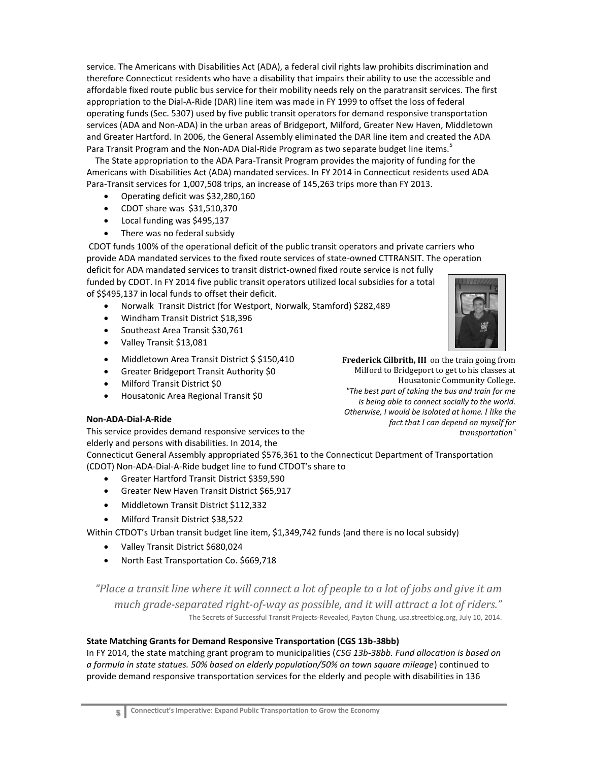service. The Americans with Disabilities Act (ADA), a federal civil rights law prohibits discrimination and therefore Connecticut residents who have a disability that impairs their ability to use the accessible and affordable fixed route public bus service for their mobility needs rely on the paratransit services. The first appropriation to the Dial-A-Ride (DAR) line item was made in FY 1999 to offset the loss of federal operating funds (Sec. 5307) used by five public transit operators for demand responsive transportation services (ADA and Non-ADA) in the urban areas of Bridgeport, Milford, Greater New Haven, Middletown and Greater Hartford. In 2006, the General Assembly eliminated the DAR line item and created the ADA Para Transit Program and the Non-ADA Dial-Ride Program as two separate budget line items.<sup>5</sup>

The State appropriation to the ADA Para-Transit Program provides the majority of funding for the Americans with Disabilities Act (ADA) mandated services. In FY 2014 in Connecticut residents used ADA Para-Transit services for 1,007,508 trips, an increase of 145,263 trips more than FY 2013.

- Operating deficit was \$32,280,160
- CDOT share was \$31,510,370
- Local funding was \$495,137
- There was no federal subsidy

CDOT funds 100% of the operational deficit of the public transit operators and private carriers who provide ADA mandated services to the fixed route services of state-owned CTTRANSIT. The operation deficit for ADA mandated services to transit district-owned fixed route service is not fully funded by CDOT. In FY 2014 five public transit operators utilized local subsidies for a total of \$\$495,137 in local funds to offset their deficit.

- Norwalk Transit District (for Westport, Norwalk, Stamford) \$282,489
- Windham Transit District \$18,396
- Southeast Area Transit \$30,761
- Valley Transit \$13,081
- Middletown Area Transit District \$ \$150,410
- Greater Bridgeport Transit Authority \$0
- Milford Transit District \$0
- Housatonic Area Regional Transit \$0

#### **Non-ADA-Dial-A-Ride**

This service provides demand responsive services to the elderly and persons with disabilities. In 2014, the

Connecticut General Assembly appropriated \$576,361 to the Connecticut Department of Transportation (CDOT) Non-ADA-Dial-A-Ride budget line to fund CTDOT's share to

- Greater Hartford Transit District \$359,590
- Greater New Haven Transit District \$65,917
- Middletown Transit District \$112,332
- Milford Transit District \$38,522

Within CTDOT's Urban transit budget line item, \$1,349,742 funds (and there is no local subsidy)

- Valley Transit District \$680,024
- North East Transportation Co. \$669,718

*"Place a transit line where it will connect a lot of people to a lot of jobs and give it am much grade-separated right-of-way as possible, and it will attract a lot of riders."* The Secrets of Successful Transit Projects-Revealed, Payton Chung, usa.streetblog.org, July 10, 2014.

#### **State Matching Grants for Demand Responsive Transportation (CGS 13b-38bb)**

In FY 2014, the state matching grant program to municipalities (*CSG 13b-38bb. Fund allocation is based on a formula in state statues. 50% based on elderly population/50% on town square mileage*) continued to provide demand responsive transportation services for the elderly and people with disabilities in 136



**Frederick Cilbrith, III** on the train going from Milford to Bridgeport to get to his classes at Housatonic Community College. *"The best part of taking the bus and train for me is being able to connect socially to the world. Otherwise, I would be isolated at home. I like the fact that I can depend on myself for transportation"*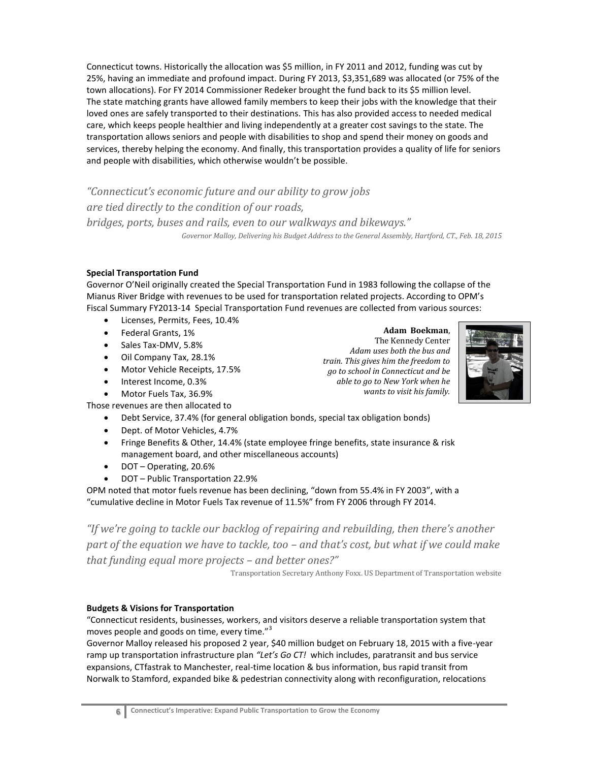Connecticut towns. Historically the allocation was \$5 million, in FY 2011 and 2012, funding was cut by 25%, having an immediate and profound impact. During FY 2013, \$3,351,689 was allocated (or 75% of the town allocations). For FY 2014 Commissioner Redeker brought the fund back to its \$5 million level. The state matching grants have allowed family members to keep their jobs with the knowledge that their loved ones are safely transported to their destinations. This has also provided access to needed medical care, which keeps people healthier and living independently at a greater cost savings to the state. The transportation allows seniors and people with disabilities to shop and spend their money on goods and services, thereby helping the economy. And finally, this transportation provides a quality of life for seniors and people with disabilities, which otherwise wouldn't be possible.

*"Connecticut's economic future and our ability to grow jobs are tied directly to the condition of our roads, bridges, ports, buses and rails, even to our walkways and bikeways." Governor Malloy, Delivering his Budget Address to the General Assembly, Hartford, CT., Feb. 18, 2015*

# **Special Transportation Fund**

Governor O'Neil originally created the Special Transportation Fund in 1983 following the collapse of the Mianus River Bridge with revenues to be used for transportation related projects. According to OPM's Fiscal Summary FY2013-14 Special Transportation Fund revenues are collected from various sources:

- Licenses, Permits, Fees, 10.4%
- Federal Grants, 1%
- Sales Tax-DMV, 5.8%
- Oil Company Tax, 28.1%
- Motor Vehicle Receipts, 17.5%
- Interest Income, 0.3%
- Motor Fuels Tax, 36.9%

Those revenues are then allocated to

- Debt Service, 37.4% (for general obligation bonds, special tax obligation bonds)
- Dept. of Motor Vehicles, 4.7%
- Fringe Benefits & Other, 14.4% (state employee fringe benefits, state insurance & risk management board, and other miscellaneous accounts)
- DOT Operating, 20.6%
- DOT Public Transportation 22.9%

OPM noted that motor fuels revenue has been declining, "down from 55.4% in FY 2003", with a "cumulative decline in Motor Fuels Tax revenue of 11.5%" from FY 2006 through FY 2014.

*"If we're going to tackle our backlog of repairing and rebuilding, then there's another part of the equation we have to tackle, too – and that's cost, but what if we could make that funding equal more projects – and better ones?"*

Transportation Secretary Anthony Foxx. US Department of Transportation website

# **Budgets & Visions for Transportation**

"Connecticut residents, businesses, workers, and visitors deserve a reliable transportation system that moves people and goods on time, every time."<sup>3</sup>

Governor Malloy released his proposed 2 year, \$40 million budget on February 18, 2015 with a five-year ramp up transportation infrastructure plan *"Let's Go CT!* which includes, paratransit and bus service expansions, CTfastrak to Manchester, real-time location & bus information, bus rapid transit from Norwalk to Stamford, expanded bike & pedestrian connectivity along with reconfiguration, relocations

**Adam Boekman**, The Kennedy Center *Adam uses both the bus and train. This gives him the freedom to go to school in Connecticut and be able to go to New York when he wants to visit his family.*

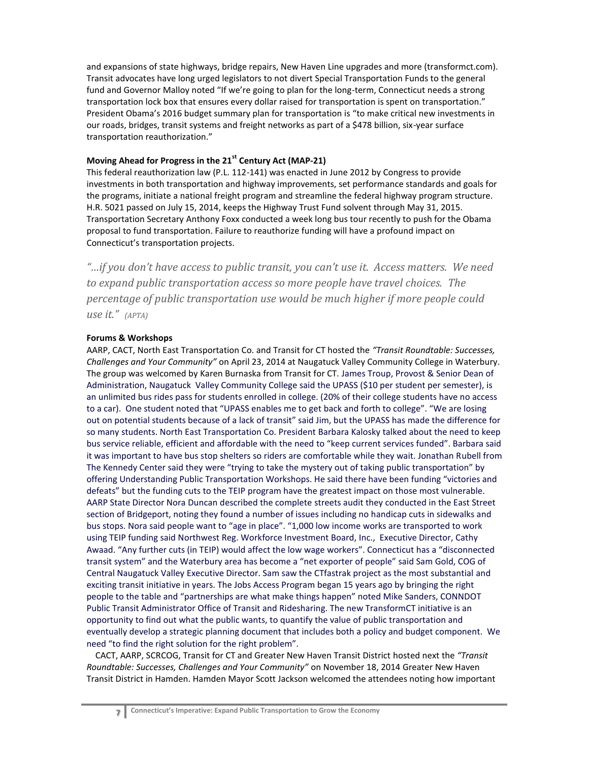and expansions of state highways, bridge repairs, New Haven Line upgrades and more (transformct.com). Transit advocates have long urged legislators to not divert Special Transportation Funds to the general fund and Governor Malloy noted "If we're going to plan for the long-term, Connecticut needs a strong transportation lock box that ensures every dollar raised for transportation is spent on transportation." President Obama's 2016 budget summary plan for transportation is "to make critical new investments in our roads, bridges, transit systems and freight networks as part of a \$478 billion, six-year surface transportation reauthorization."

# **Moving Ahead for Progress in the 21st Century Act (MAP-21)**

This federal reauthorization law (P.L. 112-141) was enacted in June 2012 by Congress to provide investments in both transportation and highway improvements, set performance standards and goals for the programs, initiate a national freight program and streamline the federal highway program structure. H.R. 5021 passed on July 15, 2014, keeps the Highway Trust Fund solvent through May 31, 2015. Transportation Secretary Anthony Foxx conducted a week long bus tour recently to push for the Obama proposal to fund transportation. Failure to reauthorize funding will have a profound impact on Connecticut's transportation projects.

*"…if you don't have access to public transit, you can't use it. Access matters. We need to expand public transportation access so more people have travel choices. The percentage of public transportation use would be much higher if more people could use it." (APTA)*

## **Forums & Workshops**

AARP, CACT, North East Transportation Co. and Transit for CT hosted the *"Transit Roundtable: Successes, Challenges and Your Community"* on April 23, 2014 at Naugatuck Valley Community College in Waterbury. The group was welcomed by Karen Burnaska from Transit for CT. James Troup, Provost & Senior Dean of Administration, Naugatuck Valley Community College said the UPASS (\$10 per student per semester), is an unlimited bus rides pass for students enrolled in college. (20% of their college students have no access to a car). One student noted that "UPASS enables me to get back and forth to college". "We are losing out on potential students because of a lack of transit" said Jim, but the UPASS has made the difference for so many students. North East Transportation Co. President Barbara Kalosky talked about the need to keep bus service reliable, efficient and affordable with the need to "keep current services funded". Barbara said it was important to have bus stop shelters so riders are comfortable while they wait. Jonathan Rubell from The Kennedy Center said they were "trying to take the mystery out of taking public transportation" by offering Understanding Public Transportation Workshops. He said there have been funding "victories and defeats" but the funding cuts to the TEIP program have the greatest impact on those most vulnerable. AARP State Director Nora Duncan described the complete streets audit they conducted in the East Street section of Bridgeport, noting they found a number of issues including no handicap cuts in sidewalks and bus stops. Nora said people want to "age in place". "1,000 low income works are transported to work using TEIP funding said Northwest Reg. Workforce Investment Board, Inc., Executive Director, Cathy Awaad. "Any further cuts (in TEIP) would affect the low wage workers". Connecticut has a "disconnected transit system" and the Waterbury area has become a "net exporter of people" said Sam Gold, COG of Central Naugatuck Valley Executive Director. Sam saw the CTfastrak project as the most substantial and exciting transit initiative in years. The Jobs Access Program began 15 years ago by bringing the right people to the table and "partnerships are what make things happen" noted Mike Sanders, CONNDOT Public Transit Administrator Office of Transit and Ridesharing. The new TransformCT initiative is an opportunity to find out what the public wants, to quantify the value of public transportation and eventually develop a strategic planning document that includes both a policy and budget component. We need "to find the right solution for the right problem".

 CACT, AARP, SCRCOG, Transit for CT and Greater New Haven Transit District hosted next the *"Transit Roundtable: Successes, Challenges and Your Community"* on November 18, 2014 Greater New Haven Transit District in Hamden. Hamden Mayor Scott Jackson welcomed the attendees noting how important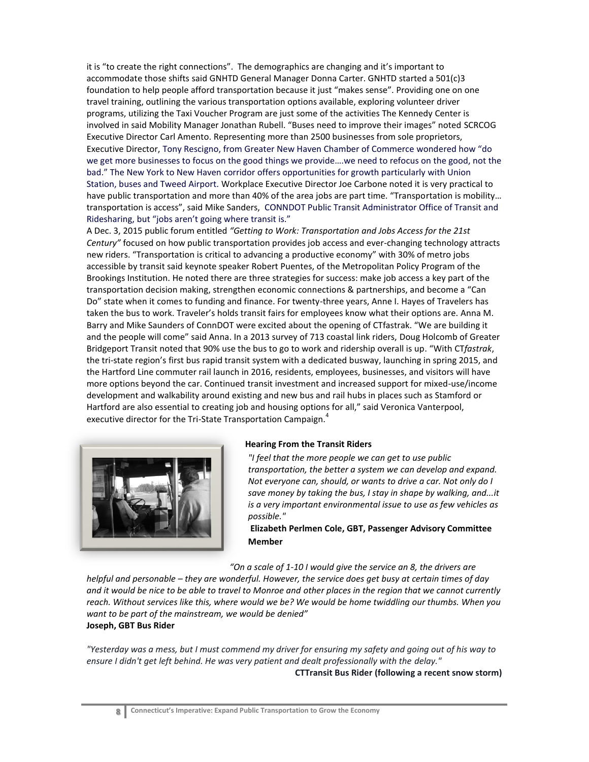it is "to create the right connections". The demographics are changing and it's important to accommodate those shifts said GNHTD General Manager Donna Carter. GNHTD started a 501(c)3 foundation to help people afford transportation because it just "makes sense". Providing one on one travel training, outlining the various transportation options available, exploring volunteer driver programs, utilizing the Taxi Voucher Program are just some of the activities The Kennedy Center is involved in said Mobility Manager Jonathan Rubell. "Buses need to improve their images" noted SCRCOG Executive Director Carl Amento. Representing more than 2500 businesses from sole proprietors, Executive Director, Tony Rescigno, from Greater New Haven Chamber of Commerce wondered how "do we get more businesses to focus on the good things we provide….we need to refocus on the good, not the bad." The New York to New Haven corridor offers opportunities for growth particularly with Union Station, buses and Tweed Airport. Workplace Executive Director Joe Carbone noted it is very practical to have public transportation and more than 40% of the area jobs are part time. "Transportation is mobility… transportation is access", said Mike Sanders, CONNDOT Public Transit Administrator Office of Transit and Ridesharing, but "jobs aren't going where transit is."

A Dec. 3, 2015 public forum entitled *"Getting to Work: Transportation and Jobs Access for the 21st Century"* focused on how public transportation provides job access and ever-changing technology attracts new riders. "Transportation is critical to advancing a productive economy" with 30% of metro jobs accessible by transit said keynote speaker Robert Puentes, of the Metropolitan Policy Program of the Brookings Institution. He noted there are three strategies for success: make job access a key part of the transportation decision making, strengthen economic connections & partnerships, and become a "Can Do" state when it comes to funding and finance. For twenty-three years, Anne I. Hayes of Travelers has taken the bus to work. Traveler's holds transit fairs for employees know what their options are. Anna M. Barry and Mike Saunders of ConnDOT were excited about the opening of CTfastrak. "We are building it and the people will come" said Anna. In a 2013 survey of 713 coastal link riders, Doug Holcomb of Greater Bridgeport Transit noted that 90% use the bus to go to work and ridership overall is up. "With CT*fastrak*, the tri-state region's first bus rapid transit system with a dedicated busway, launching in spring 2015, and the Hartford Line commuter rail launch in 2016, residents, employees, businesses, and visitors will have more options beyond the car. Continued transit investment and increased support for mixed-use/income development and walkability around existing and new bus and rail hubs in places such as Stamford or Hartford are also essential to creating job and housing options for all," said Veronica Vanterpool, executive director for the Tri-State Transportation Campaign.<sup>4</sup>



#### **Hearing From the Transit Riders**

*"I feel that the more people we can get to use public transportation, the better a system we can develop and expand. Not everyone can, should, or wants to drive a car. Not only do I save money by taking the bus, I stay in shape by walking, and...it is a very important environmental issue to use as few vehicles as possible."* 

**Elizabeth Perlmen Cole, GBT, Passenger Advisory Committee Member**

*"On a scale of 1-10 I would give the service an 8, the drivers are* 

*helpful and personable – they are wonderful. However, the service does get busy at certain times of day and it would be nice to be able to travel to Monroe and other places in the region that we cannot currently reach. Without services like this, where would we be? We would be home twiddling our thumbs. When you want to be part of the mainstream, we would be denied"*  **Joseph, GBT Bus Rider**

*"Yesterday was a mess, but I must commend my driver for ensuring my safety and going out of his way to ensure I didn't get left behind. He was very patient and dealt professionally with the delay."*

**CTTransit Bus Rider (following a recent snow storm)**